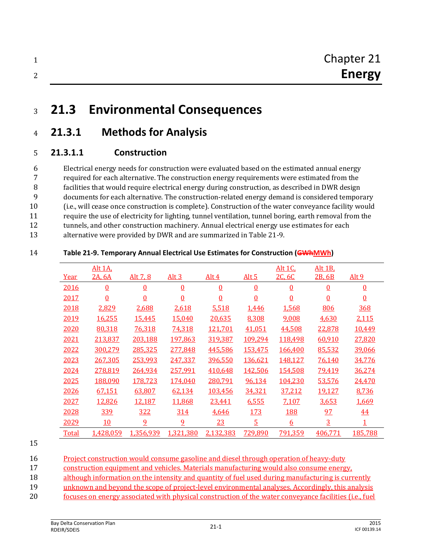# **21.3 Environmental Consequences**

# **21.3.1 Methods for Analysis**

#### **21.3.1.1 Construction**

 Electrical energy needs for construction were evaluated based on the estimated annual energy required for each alternative. The construction energy requirements were estimated from the facilities that would require electrical energy during construction, as described in DWR design documents for each alternative. The construction-related energy demand is considered temporary (i.e., will cease once construction is complete). Construction of the water conveyance facility would require the use of electricity for lighting, tunnel ventilation, tunnel boring, earth removal from the 12 tunnels, and other construction machinery. Annual electrical energy use estimates for each

alternative were provided by DWR and are summarized in Table 21-9.

#### **Table 21-9. Temporary Annual Electrical Use Estimates for Construction (GWhMWh)**

|              | <u>Alt 1A.</u> |                |                  |                |                 | <u>Alt 1C.</u>  | <u>Alt 1B.</u> |                  |
|--------------|----------------|----------------|------------------|----------------|-----------------|-----------------|----------------|------------------|
| Year         | 2A, 6A         | Alt 7, 8       | Alt <sub>3</sub> | Alt $4$        | Alt $5$         | 2C, 6C          | 2B, 6B         | Alt <sub>9</sub> |
| 2016         | $\Omega$       | $\Omega$       | $\overline{0}$   | $\overline{0}$ | $\overline{0}$  | $\overline{0}$  | $\overline{0}$ | $\Omega$         |
| 2017         | $\overline{0}$ | $\overline{0}$ | $\overline{0}$   | $\overline{0}$ | $\underline{0}$ | $\overline{0}$  | $\overline{0}$ | $\underline{0}$  |
| 2018         | 2,829          | 2,688          | 2,618            | 5,518          | <u>1,446</u>    | 1,568           | 806            | <u>368</u>       |
| 2019         | 16,255         | 15,445         | 15,040           | 20,635         | 8,308           | 9,008           | 4,630          | 2,115            |
| 2020         | 80,318         | 76,318         | 74,318           | 121,701        | 41,051          | 44,508          | 22,878         | <u>10,449</u>    |
| 2021         | 213,837        | 203,188        | 197,863          | 319,387        | 109,294         | 118,498         | 60,910         | 27,820           |
| 2022         | 300,279        | 285,325        | 277,848          | 445,586        | 153,475         | 166,400         | 85,532         | 39,066           |
| 2023         | 267,305        | 253,993        | 247,337          | 396,550        | 136,621         | 148,127         | 76,140         | 34,776           |
| 2024         | 278,819        | 264,934        | 257,991          | 410,648        | 142,506         | 154,508         | 79,419         | 36,274           |
| 2025         | 188,090        | 178,723        | 174,040          | 280,791        | 96,134          | 104,230         | 53,576         | <u>24,470</u>    |
| 2026         | 67,151         | 63,807         | 62,134           | 103,456        | 34,321          | 37,212          | 19,127         | 8,736            |
| 2027         | 12,826         | 12,187         | 11,868           | 23,441         | 6,555           | 7,107           | 3,653          | 1,669            |
| 2028         | 339            | 322            | 314              | 4,646          | <u>173</u>      | 188             | 97             | <u>44</u>        |
| 2029         | 10             | $\overline{9}$ | $\overline{9}$   | 23             | $\overline{5}$  | $6\overline{6}$ | $\overline{3}$ | $\overline{1}$   |
| <b>Total</b> | 1,428,059      | 1,356,939      | 1,321,380        | 2.132.383      | 729,890         | 791,359         | 406,771        | 185,788          |

construction equipment and vehicles. Materials manufacturing would also consume energy,

18 although information on the intensity and quantity of fuel used during manufacturing is currently

19 unknown and beyond the scope of project-level environmental analyses. Accordingly, this analysis

focuses on energy associated with physical construction of the water conveyance facilities (i.e., fuel

Project construction would consume gasoline and diesel through operation of heavy-duty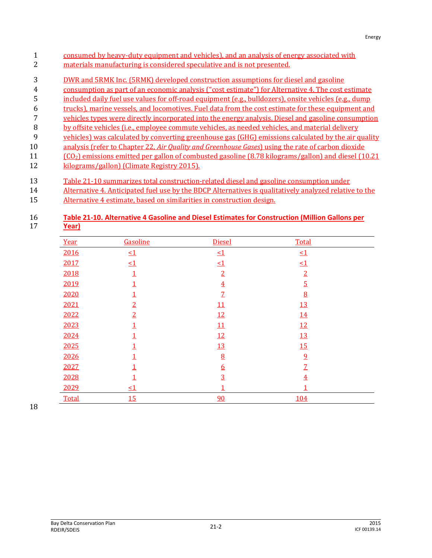- consumed by heavy-duty equipment and vehicles), and an analysis of energy associated with materials manufacturing is considered speculative and is not presented.
- DWR and 5RMK Inc. (5RMK) developed construction assumptions for diesel and gasoline
- consumption as part of an economic analysis ("cost estimate") for Alternative 4. The cost estimate
- included daily fuel use values for off-road equipment (e.g., bulldozers), onsite vehicles (e.g., dump
- trucks), marine vessels, and locomotives. Fuel data from the cost estimate for these equipment and
- vehicles types were directly incorporated into the energy analysis. Diesel and gasoline consumption
- by offsite vehicles (i.e., employee commute vehicles, as needed vehicles, and material delivery
- vehicles) was calculated by converting greenhouse gas (GHG) emissions calculated by the air quality
- analysis (refer to Chapter 22, *Air Quality and Greenhouse Gases*) using the rate of carbon dioxide
- (CO2) emissions emitted per gallon of combusted gasoline (8.78 kilograms/gallon) and diesel (10.21
- kilograms/gallon) (Climate Registry 2015).
- Table 21-10 summarizes total construction-related diesel and gasoline consumption under
- Alternative 4. Anticipated fuel use by the BDCP Alternatives is qualitatively analyzed relative to the
- Alternative 4 estimate, based on similarities in construction design.

#### **Table 21-10. Alternative 4 Gasoline and Diesel Estimates for Construction (Million Gallons per Year)**

| Year  | Gasoline       | <b>Diesel</b>   | Total          |  |
|-------|----------------|-----------------|----------------|--|
| 2016  | $\leq 1$       | $\leq$ 1        | $\leq$ 1       |  |
| 2017  | $\leq 1$       | $\leq 1$        | $\leq$ 1       |  |
| 2018  | $\overline{1}$ | $\overline{2}$  | $\overline{2}$ |  |
| 2019  | $\overline{1}$ | $\overline{4}$  | $\overline{5}$ |  |
| 2020  | $\overline{1}$ | $\overline{Z}$  | 8              |  |
| 2021  | $\overline{2}$ | 11              | <u>13</u>      |  |
| 2022  | $\overline{2}$ | 12              | 14             |  |
| 2023  | $\overline{1}$ | 11              | 12             |  |
| 2024  | $\overline{1}$ | 12              | 13             |  |
| 2025  | 1              | <u>13</u>       | 15             |  |
| 2026  | 1              | 8               | $\overline{9}$ |  |
| 2027  |                | $6\overline{6}$ | $\overline{Z}$ |  |
| 2028  |                | $\overline{3}$  | $\overline{4}$ |  |
| 2029  | $\leq$ 1       |                 |                |  |
| Total | 15             | 90              | 104            |  |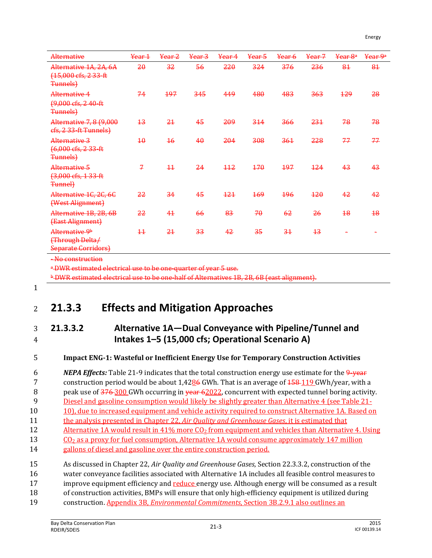| ۰ |
|---|
|---|

| Alternative                                                                | <del>Year 1</del> | <del>Year 2</del> | <del>Year 3</del> | <del>Year 4</del> | Year <sub>5</sub> | Year 6 | Year <sub>7</sub> | Year 8 <sup>a</sup> | Year 9 <sup>a</sup> |
|----------------------------------------------------------------------------|-------------------|-------------------|-------------------|-------------------|-------------------|--------|-------------------|---------------------|---------------------|
| Alternative 1A, 2A, 6A<br>(15,000 cfs, 2 33-ft<br>Tunnels)                 | 20                | 32                | 56                | 220               | 324               | 376    | 236               | 81                  | 81                  |
| Alternative 4<br>(9,000 cfs, 2 40-ft<br>Tunnels)                           | 74                | 197               | 345               | 449               | 480               | 483    | 363               | 129                 | 28                  |
| Alternative 7, 8 (9,000<br>efs, 2 33-ft Tunnels)                           | $\overline{13}$   | 2 <sub>1</sub>    | 45                | 209               | 314               | 366    | 231               | 78                  | 78                  |
| Alternative 3<br>$(6,000 \text{ cfs}, 233 \text{- ft})$<br>Tunnels)        | $\overline{40}$   | $\overline{16}$   | 40                | 204               | 308               | 361    | 228               | 77                  | 77                  |
| Alternative 5<br>(3,000 cfs, 1 33-ft<br>Tunnel)                            | 7                 | $\overline{11}$   | 24                | 112               | 170               | 197    | 424               | 43                  | 43                  |
| Alternative 1C, 2C, 6C<br>(West Alignment)                                 | 22                | 34                | 45                | 121               | 169               | 496    | 120               | 42                  | 42                  |
| Alternative 1B, 2B, 6B<br>(East Alignment)                                 | <del>22</del>     | 41                | <del>66</del>     | 83                | 70                | 62     | 26                | $\overline{18}$     | 48                  |
| Alternative 9b<br>(Through Delta/<br><b>Separate Corridors</b> )<br>$\sim$ | 44                | 24                | 33                | 42                | 35                | 34     | 4 <sup>3</sup>    |                     |                     |

- No construction

a DWR estimated electrical use to be one-quarter of year 5

**b DWR estimated electrical use to be one-half of Alternatives 1B, 2B, 6B (east alignment).** 

# <sup>2</sup> **21.3.3 Effects and Mitigation Approaches**

## 3 **21.3.3.2 Alternative 1A—Dual Conveyance with Pipeline/Tunnel and**  4 **Intakes 1–5 (15,000 cfs; Operational Scenario A)**

#### 5 **Impact ENG-1: Wasteful or Inefficient Energy Use for Temporary Construction Activities**

6 *NEPA Effects:* Table 21-9 indicates that the total construction energy use estimate for the 9-year

7 construction period would be about  $1.4286$  GWh. That is an average of  $\frac{158}{129}$  GWh/year, with a

8 peak use of  $\frac{376}{300}$  GWh occurring in <del>year 62022</del>, concurrent with expected tunnel boring activity.

9 Diesel and gasoline consumption would likely be slightly greater than Alternative 4 (see Table 21-

- 10 10), due to increased equipment and vehicle activity required to construct Alternative 1A. Based on
- 11 the analysis presented in Chapter 22, *Air Quality and Greenhouse Gases*, it is estimated that
- 12 Alternative 1A would result in 41% more CO<sub>2</sub> from equipment and vehicles than Alternative 4. Using

13 CO<sup>2</sup> as a proxy for fuel consumption, Alternative 1A would consume approximately 147 million 14 gallons of diesel and gasoline over the entire construction period.

- 15 As discussed in Chapter 22, *Air Quality and Greenhouse Gases*, Section 22.3.3.2, construction of the
- 16 water conveyance facilities associated with Alternative 1A includes all feasible control measures to
- 17 improve equipment efficiency and reduce energy use. Although energy will be consumed as a result
- 18 of construction activities, BMPs will ensure that only high-efficiency equipment is utilized during
- 19 construction. Appendix 3B, *Environmental Commitments*, Section 3B.2.9.1 also outlines an

<sup>1</sup>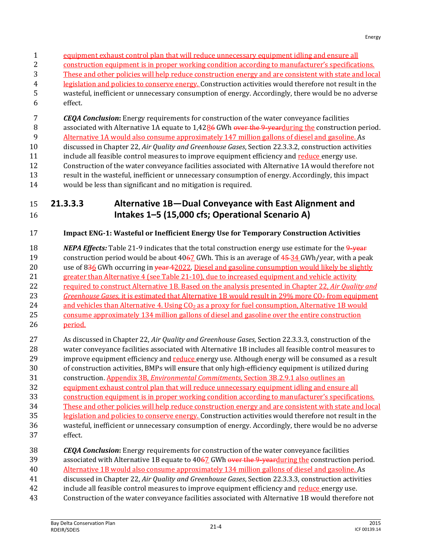- equipment exhaust control plan that will reduce unnecessary equipment idling and ensure all
- construction equipment is in proper working condition according to manufacturer's specifications.
- These and other policies will help reduce construction energy and are consistent with state and local
- legislation and policies to conserve energy. Construction activities would therefore not result in the wasteful, inefficient or unnecessary consumption of energy. Accordingly, there would be no adverse effect.
- *CEQA Conclusion***:** Energy requirements for construction of the water conveyance facilities
- 8 associated with Alternative 1A equate to 1,4286 GWh over the 9-vearduring the construction period. Alternative 1A would also consume approximately 147 million gallons of diesel and gasoline. As
- discussed in Chapter 22, *Air Quality and Greenhouse Gases*, Section 22.3.3.2, construction activities 11 include all feasible control measures to improve equipment efficiency and reduce energy use. Construction of the water conveyance facilities associated with Alternative 1A would therefore not result in the wasteful, inefficient or unnecessary consumption of energy. Accordingly, this impact would be less than significant and no mitigation is required.
- **21.3.3.3 Alternative 1B—Dual Conveyance with East Alignment and Intakes 1–5 (15,000 cfs; Operational Scenario A)**
- **Impact ENG-1: Wasteful or Inefficient Energy Use for Temporary Construction Activities**
- *NEPA Effects:* Table 21-9 indicates that the total construction energy use estimate for the 9-year 19 construction period would be about GWh. This is an average of  $45-34$  GWh/year, with a peak 20 use of 836 GWh occurring in year 42022. Diesel and gasoline consumption would likely be slightly greater than Alternative 4 (see Table 21-10), due to increased equipment and vehicle activity required to construct Alternative 1B. Based on the analysis presented in Chapter 22, *Air Quality and*  23 *Greenhouse Gases*, it is estimated that Alternative 1B would result in 29% more CO<sub>2</sub> from equipment 24 and vehicles than Alternative 4. Using CO<sub>2</sub> as a proxy for fuel consumption, Alternative 1B would consume approximately 134 million gallons of diesel and gasoline over the entire construction period.
- As discussed in Chapter 22, *Air Quality and Greenhouse Gases*, Section 22.3.3.3*,* construction of the water conveyance facilities associated with Alternative 1B includes all feasible control measures to 29 improve equipment efficiency and reduce energy use. Although energy will be consumed as a result of construction activities, BMPs will ensure that only high-efficiency equipment is utilized during construction. Appendix 3B, *Environmental Commitments*, Section 3B.2.9.1 also outlines an equipment exhaust control plan that will reduce unnecessary equipment idling and ensure all construction equipment is in proper working condition according to manufacturer's specifications. These and other policies will help reduce construction energy and are consistent with state and local
- legislation and policies to conserve energy. Construction activities would therefore not result in the wasteful, inefficient or unnecessary consumption of energy. Accordingly, there would be no adverse
- effect.
- *CEQA Conclusion***:** Energy requirements for construction of the water conveyance facilities 39 associated with Alternative 1B equate to GWh over the 9-yearduring the construction period. Alternative 1B would also consume approximately 134 million gallons of diesel and gasoline. As
- discussed in Chapter 22, *Air Quality and Greenhouse Gases*, Section 22.3.3.3, construction activities
- 42 include all feasible control measures to improve equipment efficiency and reduce energy use.
- Construction of the water conveyance facilities associated with Alternative 1B would therefore not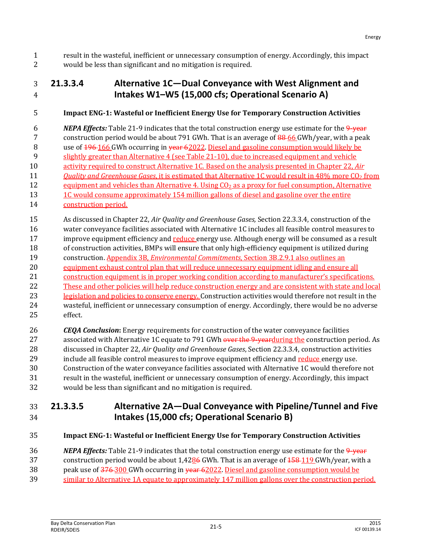result in the wasteful, inefficient or unnecessary consumption of energy. Accordingly, this impact would be less than significant and no mitigation is required.

## **21.3.3.4 Alternative 1C—Dual Conveyance with West Alignment and Intakes W1–W5 (15,000 cfs; Operational Scenario A)**

#### **Impact ENG-1: Wasteful or Inefficient Energy Use for Temporary Construction Activities**

 *NEPA Effects:* Table 21-9 indicates that the total construction energy use estimate for the 9-year 7 construction period would be about 791 GWh. That is an average of 88-66 GWh/year, with a peak 8 use of  $\frac{196 \cdot 166}{196}$  GWh occurring in  $\frac{196 \cdot 160}{196}$  vear 62022. Diesel and gasoline consumption would likely be slightly greater than Alternative 4 (see Table 21-10), due to increased equipment and vehicle activity required to construct Alternative 1C. Based on the analysis presented in Chapter 22, *Air*  11 *Quality and Greenhouse Gases*, it is estimated that Alternative 1C would result in 48% more CO<sub>2</sub> from 12 equipment and vehicles than Alternative 4. Using  $CO<sub>2</sub>$  as a proxy for fuel consumption, Alternative 13 1C would consume approximately 154 million gallons of diesel and gasoline over the entire construction period.

 As discussed in Chapter 22, *Air Quality and Greenhouse Gases,* Section 22.3.3.4, construction of the water conveyance facilities associated with Alternative 1C includes all feasible control measures to 17 improve equipment efficiency and reduce energy use. Although energy will be consumed as a result of construction activities, BMPs will ensure that only high-efficiency equipment is utilized during

- construction. Appendix 3B, *Environmental Commitments*, Section 3B.2.9.1 also outlines an
- equipment exhaust control plan that will reduce unnecessary equipment idling and ensure all
- construction equipment is in proper working condition according to manufacturer's specifications. These and other policies will help reduce construction energy and are consistent with state and local
- 23 legislation and policies to conserve energy. Construction activities would therefore not result in the wasteful, inefficient or unnecessary consumption of energy. Accordingly, there would be no adverse effect.
- *CEQA Conclusion***:** Energy requirements for construction of the water conveyance facilities 27 associated with Alternative 1C equate to 791 GWh over the 9-yearduring the construction period. As discussed in Chapter 22, *Air Quality and Greenhouse Gases*, Section 22.3.3.4, construction activities 29 include all feasible control measures to improve equipment efficiency and reduce energy use. Construction of the water conveyance facilities associated with Alternative 1C would therefore not result in the wasteful, inefficient or unnecessary consumption of energy. Accordingly, this impact would be less than significant and no mitigation is required.

### **21.3.3.5 Alternative 2A—Dual Conveyance with Pipeline/Tunnel and Five Intakes (15,000 cfs; Operational Scenario B)**

#### **Impact ENG-1: Wasteful or Inefficient Energy Use for Temporary Construction Activities**

*NEPA Effects:* Table 21-9 indicates that the total construction energy use estimate for the 9-year

- 37 construction period would be about 1,4286 GWh. That is an average of  $\frac{158 \cdot 119}{2}$  GWh/year, with a
- 38 peak use of 376 300 GWh occurring in year 62022. Diesel and gasoline consumption would be similar to Alternative 1A equate to approximately 147 million gallons over the construction period.
	- Bay Delta Conservation Plan Bay Denia Conservation Plan<br>RDEIR/SDEIS 21-5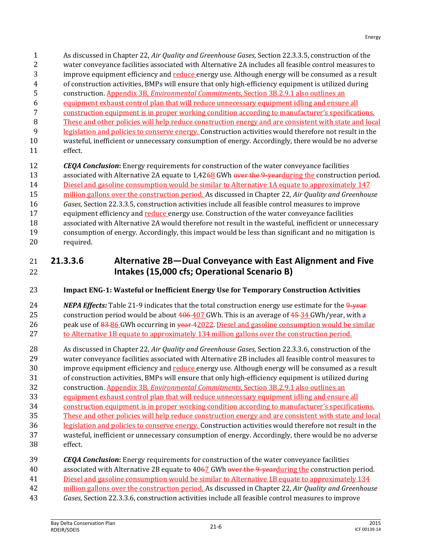As discussed in Chapter 22, *Air Quality and Greenhouse Gases*, Section 22.3.3.5, construction of the water conveyance facilities associated with Alternative 2A includes all feasible control measures to 3 improve equipment efficiency and reduce energy use. Although energy will be consumed as a result of construction activities, BMPs will ensure that only high-efficiency equipment is utilized during construction. Appendix 3B, *Environmental Commitments*, Section 3B.2.9.1 also outlines an

- equipment exhaust control plan that will reduce unnecessary equipment idling and ensure all
- construction equipment is in proper working condition according to manufacturer's specifications.
- These and other policies will help reduce construction energy and are consistent with state and local
- legislation and policies to conserve energy. Construction activities would therefore not result in the wasteful, inefficient or unnecessary consumption of energy. Accordingly, there would be no adverse effect.
- *CEQA Conclusion***:** Energy requirements for construction of the water conveyance facilities
- 13 associated with Alternative 2A equate to 1,4268 GWh over the 9-yearduring the construction period.
- Diesel and gasoline consumption would be similar to Alternative 1A equate to approximately 147
- million gallons over the construction period. As discussed in Chapter 22, *Air Quality and Greenhouse*
- *Gases*, Section 22.3.3.5, construction activities include all feasible control measures to improve
- 17 equipment efficiency and reduce energy use. Construction of the water conveyance facilities associated with Alternative 2A would therefore not result in the wasteful, inefficient or unnecessary
- consumption of energy. Accordingly, this impact would be less than significant and no mitigation is required.

## **21.3.3.6 Alternative 2B—Dual Conveyance with East Alignment and Five Intakes (15,000 cfs; Operational Scenario B)**

# **Impact ENG-1: Wasteful or Inefficient Energy Use for Temporary Construction Activities**

*NEPA Effects:* Table 21-9 indicates that the total construction energy use estimate for the 9-year 25 construction period would be about  $406-407$  GWh. This is an average of  $45-34$  GWh/year, with a 26 peak use of  $\frac{83-86}{8}$  GWh occurring in <del>year 42022. Diesel and gasoline consumption would be similar</del> 27 to Alternative 1B equate to approximately 134 million gallons over the construction period.

- As discussed in Chapter 22, *Air Quality and Greenhouse Gases*, Section 22.3.3.6, construction of the water conveyance facilities associated with Alternative 2B includes all feasible control measures to 30 improve equipment efficiency and reduce energy use. Although energy will be consumed as a result of construction activities, BMPs will ensure that only high-efficiency equipment is utilized during construction. Appendix 3B, *Environmental Commitments*, Section 3B.2.9.1 also outlines an equipment exhaust control plan that will reduce unnecessary equipment idling and ensure all construction equipment is in proper working condition according to manufacturer's specifications. These and other policies will help reduce construction energy and are consistent with state and local legislation and policies to conserve energy. Construction activities would therefore not result in the wasteful, inefficient or unnecessary consumption of energy. Accordingly, there would be no adverse effect.
- *CEQA Conclusion***:** Energy requirements for construction of the water conveyance facilities 40 associated with Alternative 2B equate to 4067 GWh over the 9-yearduring the construction period. Diesel and gasoline consumption would be similar to Alternative 1B equate to approximately 134 million gallons over the construction period. As discussed in Chapter 22, *Air Quality and Greenhouse Gases*, Section 22.3.3.6, construction activities include all feasible control measures to improve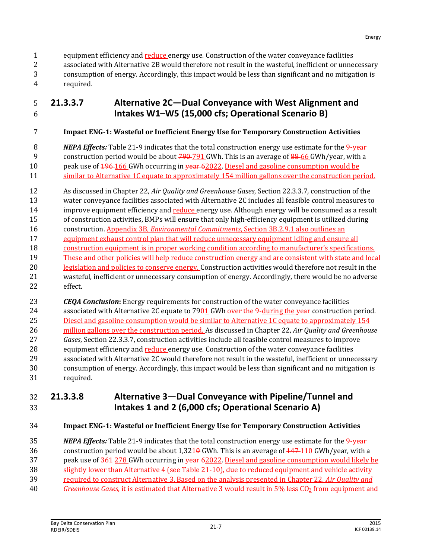1 equipment efficiency and reduce energy use. Construction of the water conveyance facilities associated with Alternative 2B would therefore not result in the wasteful, inefficient or unnecessary consumption of energy. Accordingly, this impact would be less than significant and no mitigation is required.

## **21.3.3.7 Alternative 2C—Dual Conveyance with West Alignment and Intakes W1–W5 (15,000 cfs; Operational Scenario B)**

#### **Impact ENG-1: Wasteful or Inefficient Energy Use for Temporary Construction Activities**

*NEPA Effects:* Table 21-9 indicates that the total construction energy use estimate for the 9-year 9 construction period would be about  $790-791$  GWh. This is an average of  $88-66$  GWh/year, with a 10 peak use of  $\frac{196 \cdot 166}{206}$  GWh occurring in <del>year 62022. Diesel and gasoline consumption would be</del> similar to Alternative 1C equate to approximately 154 million gallons over the construction period.

 As discussed in Chapter 22, *Air Quality and Greenhouse Gases*, Section 22.3.3.7*,* construction of the water conveyance facilities associated with Alternative 2C includes all feasible control measures to

14 improve equipment efficiency and reduce energy use. Although energy will be consumed as a result

of construction activities, BMPs will ensure that only high-efficiency equipment is utilized during

- construction. Appendix 3B, *Environmental Commitments*, Section 3B.2.9.1 also outlines an
- equipment exhaust control plan that will reduce unnecessary equipment idling and ensure all
- 18 construction equipment is in proper working condition according to manufacturer's specifications. These and other policies will help reduce construction energy and are consistent with state and local 20 legislation and policies to conserve energy. Construction activities would therefore not result in the wasteful, inefficient or unnecessary consumption of energy. Accordingly, there would be no adverse effect.

 *CEQA Conclusion***:** Energy requirements for construction of the water conveyance facilities 24 associated with Alternative 2C equate to 7901 GWh over the 9-during the year-construction period. Diesel and gasoline consumption would be similar to Alternative 1C equate to approximately 154 million gallons over the construction period. As discussed in Chapter 22, *Air Quality and Greenhouse Gases*, Section 22.3.3.7, construction activities include all feasible control measures to improve 28 equipment efficiency and reduce energy use. Construction of the water conveyance facilities associated with Alternative 2C would therefore not result in the wasteful, inefficient or unnecessary consumption of energy. Accordingly, this impact would be less than significant and no mitigation is required.

## **21.3.3.8 Alternative 3—Dual Conveyance with Pipeline/Tunnel and Intakes 1 and 2 (6,000 cfs; Operational Scenario A)**

#### **Impact ENG-1: Wasteful or Inefficient Energy Use for Temporary Construction Activities**

**NEPA Effects:** Table 21-9 indicates that the total construction energy use estimate for the 9-year

36 construction period would be about  $1,3210$  GWh. This is an average of  $\frac{147 \cdot 110}{200}$  GWh/year, with a 37 peak use of 361 278 GWh occurring in year 62022. Diesel and gasoline consumption would likely be

slightly lower than Alternative 4 (see Table 21-10), due to reduced equipment and vehicle activity

- required to construct Alternative 3. Based on the analysis presented in Chapter 22, *Air Quality and*
- *Greenhouse Gases*, it is estimated that Alternative 3 would result in 5% less CO<sup>2</sup> from equipment and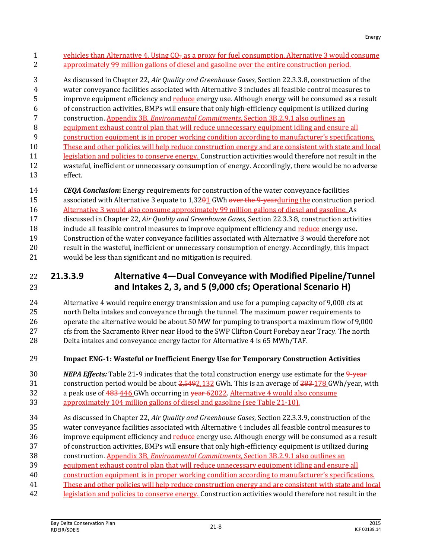- 1 vehicles than Alternative 4. Using  $CO<sub>2</sub>$  as a proxy for fuel consumption, Alternative 3 would consume approximately 99 million gallons of diesel and gasoline over the entire construction period.
- As discussed in Chapter 22, *Air Quality and Greenhouse Gases*, Section 22.3.3.8, construction of the water conveyance facilities associated with Alternative 3 includes all feasible control measures to
- 5 improve equipment efficiency and reduce energy use. Although energy will be consumed as a result
- of construction activities, BMPs will ensure that only high-efficiency equipment is utilized during
- construction. Appendix 3B, *Environmental Commitments*, Section 3B.2.9.1 also outlines an
- equipment exhaust control plan that will reduce unnecessary equipment idling and ensure all
- construction equipment is in proper working condition according to manufacturer's specifications.
- These and other policies will help reduce construction energy and are consistent with state and local
- 11 legislation and policies to conserve energy. Construction activities would therefore not result in the wasteful, inefficient or unnecessary consumption of energy. Accordingly, there would be no adverse effect.
- *CEQA Conclusion***:** Energy requirements for construction of the water conveyance facilities 15 associated with Alternative 3 equate to 1,3201 GWh over the 9-vearduring the construction period. Alternative 3 would also consume approximately 99 million gallons of diesel and gasoline. As discussed in Chapter 22, *Air Quality and Greenhouse Gases*, Section 22.3.3.8, construction activities
- 18 include all feasible control measures to improve equipment efficiency and reduce energy use. Construction of the water conveyance facilities associated with Alternative 3 would therefore not result in the wasteful, inefficient or unnecessary consumption of energy. Accordingly, this impact would be less than significant and no mitigation is required.

## **21.3.3.9 Alternative 4—Dual Conveyance with Modified Pipeline/Tunnel and Intakes 2, 3, and 5 (9,000 cfs; Operational Scenario H)**

- Alternative 4 would require energy transmission and use for a pumping capacity of 9,000 cfs at north Delta intakes and conveyance through the tunnel. The maximum power requirements to operate the alternative would be about 50 MW for pumping to transport a maximum flow of 9,000 cfs from the Sacramento River near Hood to the SWP Clifton Court Forebay near Tracy. The north Delta intakes and conveyance energy factor for Alternative 4 is 65 MWh/TAF.
- **Impact ENG-1: Wasteful or Inefficient Energy Use for Temporary Construction Activities**
- *NEPA Effects:* Table 21-9 indicates that the total construction energy use estimate for the 9-year 31 construction period would be about 2,5492,132 GWh. This is an average of 283-178 GWh/year, with 32 a peak use of  $483-446$  GWh occurring in  $\frac{1}{2}$  and  $\frac{1}{2}$ . Alternative 4 would also consume approximately 104 million gallons of diesel and gasoline (see Table 21-10).
- 
- As discussed in Chapter 22, *Air Quality and Greenhouse Gases*, Section 22.3.3.9, construction of the water conveyance facilities associated with Alternative 4 includes all feasible control measures to 36 improve equipment efficiency and reduce energy use. Although energy will be consumed as a result
- of construction activities, BMPs will ensure that only high-efficiency equipment is utilized during
- construction. Appendix 3B, *Environmental Commitments*, Section 3B.2.9.1 also outlines an
- equipment exhaust control plan that will reduce unnecessary equipment idling and ensure all
- construction equipment is in proper working condition according to manufacturer's specifications.
- These and other policies will help reduce construction energy and are consistent with state and local
- 42 legislation and policies to conserve energy. Construction activities would therefore not result in the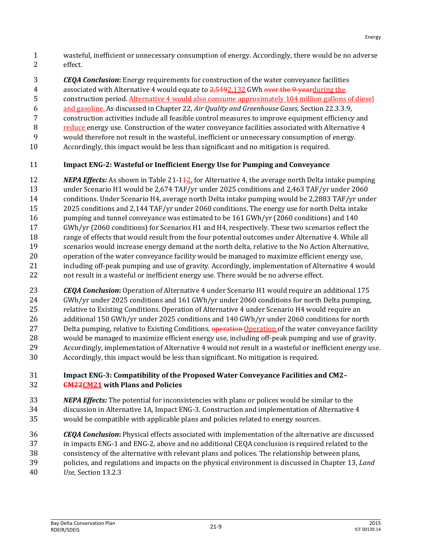wasteful, inefficient or unnecessary consumption of energy. Accordingly, there would be no adverse effect.

#### *CEQA Conclusion***:** Energy requirements for construction of the water conveyance facilities

4 associated with Alternative 4 would equate to 2,5492,132 GWh over the 9-yearduring the

- construction period. Alternative 4 would also consume approximately 104 million gallons of diesel
- and gasoline. As discussed in Chapter 22, *Air Quality and Greenhouse Gases*, Section 22.3.3.9,
- construction activities include all feasible control measures to improve equipment efficiency and
- reduce energy use. Construction of the water conveyance facilities associated with Alternative 4 would therefore not result in the wasteful, inefficient or unnecessary consumption of energy.
- Accordingly, this impact would be less than significant and no mitigation is required.

#### **Impact ENG-2: Wasteful or Inefficient Energy Use for Pumping and Conveyance**

*NEPA Effects:* As shown in Table 21-142, for Alternative 4, the average north Delta intake pumping under Scenario H1 would be 2,674 TAF/yr under 2025 conditions and 2,463 TAF/yr under 2060

conditions. Under Scenario H4, average north Delta intake pumping would be 2,2883 TAF/yr under

- 2025 conditions and 2,144 TAF/yr under 2060 conditions. The energy use for north Delta intake
- pumping and tunnel conveyance was estimated to be 161 GWh/yr (2060 conditions) and 140
- GWh/yr (2060 conditions) for Scenarios H1 and H4, respectively. These two scenarios reflect the range of effects that would result from the four potential outcomes under Alternative 4. While all
- scenarios would increase energy demand at the north delta, relative to the No Action Alternative, operation of the water conveyance facility would be managed to maximize efficient energy use, including off-peak pumping and use of gravity. Accordingly, implementation of Alternative 4 would not result in a wasteful or inefficient energy use. There would be no adverse effect.
- *CEQA Conclusion***:** Operation of Alternative 4 under Scenario H1 would require an additional 175 GWh/yr under 2025 conditions and 161 GWh/yr under 2060 conditions for north Delta pumping, relative to Existing Conditions. Operation of Alternative 4 under Scenario H4 would require an additional 150 GWh/yr under 2025 conditions and 140 GWh/yr under 2060 conditions for north 27 Delta pumping, relative to Existing Conditions. **operation** Operation of the water conveyance facility would be managed to maximize efficient energy use, including off-peak pumping and use of gravity. Accordingly, implementation of Alternative 4 would not result in a wasteful or inefficient energy use. Accordingly, this impact would be less than significant. No mitigation is required.

#### **Impact ENG-3: Compatibility of the Proposed Water Conveyance Facilities and CM2– CM22CM21 with Plans and Policies**

- *NEPA Effects:* The potential for inconsistencies with plans or polices would be similar to the discussion in Alternative 1A, Impact ENG-3. Construction and implementation of Alternative 4 would be compatible with applicable plans and policies related to energy sources.
- *CEQA Conclusion***:** Physical effects associated with implementation of the alternative are discussed in impacts ENG-1 and ENG-2, above and no additional CEQA conclusion is required related to the consistency of the alternative with relevant plans and polices. The relationship between plans, policies, and regulations and impacts on the physical environment is discussed in Chapter 13, *Land*
- *Use,* Section 13.2.3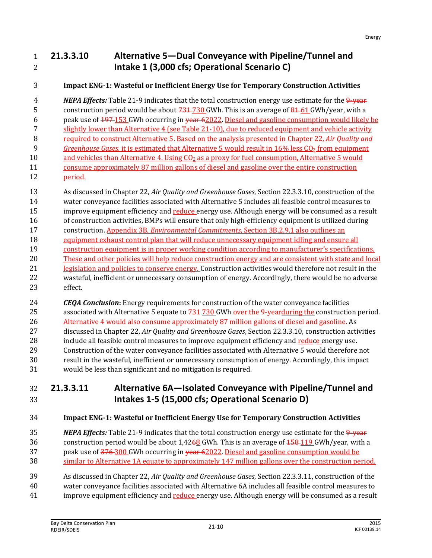### **21.3.3.10 Alternative 5—Dual Conveyance with Pipeline/Tunnel and Intake 1 (3,000 cfs; Operational Scenario C)**

#### **Impact ENG-1: Wasteful or Inefficient Energy Use for Temporary Construction Activities**

 *NEPA Effects:* Table 21-9 indicates that the total construction energy use estimate for the 9-year 5 construction period would be about  $731-730$  GWh. This is an average of  $81-61$  GWh/year, with a peak use of 197 153 GWh occurring in year 62022. Diesel and gasoline consumption would likely be slightly lower than Alternative 4 (see Table 21-10), due to reduced equipment and vehicle activity required to construct Alternative 5. Based on the analysis presented in Chapter 22, *Air Quality and Greenhouse Gases*, it is estimated that Alternative 5 would result in 16% less CO<sub>2</sub> from equipment 10 and vehicles than Alternative 4. Using  $CO<sub>2</sub>$  as a proxy for fuel consumption, Alternative 5 would consume approximately 87 million gallons of diesel and gasoline over the entire construction

- period.
- As discussed in Chapter 22, *Air Quality and Greenhouse Gases*, Section 22.3.3.10, construction of the water conveyance facilities associated with Alternative 5 includes all feasible control measures to 15 improve equipment efficiency and reduce energy use. Although energy will be consumed as a result of construction activities, BMPs will ensure that only high-efficiency equipment is utilized during construction. Appendix 3B, *Environmental Commitments*, Section 3B.2.9.1 also outlines an
- equipment exhaust control plan that will reduce unnecessary equipment idling and ensure all
- construction equipment is in proper working condition according to manufacturer's specifications. These and other policies will help reduce construction energy and are consistent with state and local legislation and policies to conserve energy. Construction activities would therefore not result in the wasteful, inefficient or unnecessary consumption of energy. Accordingly, there would be no adverse effect.
- *CEQA Conclusion***:** Energy requirements for construction of the water conveyance facilities 25 associated with Alternative 5 equate to 731-730 GWh over the 9-vearduring the construction period. Alternative 4 would also consume approximately 87 million gallons of diesel and gasoline. As discussed in Chapter 22, *Air Quality and Greenhouse Gases*, Section 22.3.3.10, construction activities 28 include all feasible control measures to improve equipment efficiency and reduce energy use. Construction of the water conveyance facilities associated with Alternative 5 would therefore not result in the wasteful, inefficient or unnecessary consumption of energy. Accordingly, this impact
- would be less than significant and no mitigation is required.

## **21.3.3.11 Alternative 6A—Isolated Conveyance with Pipeline/Tunnel and Intakes 1-5 (15,000 cfs; Operational Scenario D)**

#### **Impact ENG-1: Wasteful or Inefficient Energy Use for Temporary Construction Activities**

- *NEPA Effects:* Table 21-9 indicates that the total construction energy use estimate for the 9-year 36 construction period would be about 1,4268 GWh. This is an average of  $\frac{158 \cdot 119}{25}$  GWh/year, with a 37 peak use of 376 300 GWh occurring in year 62022. Diesel and gasoline consumption would be 38 similar to Alternative 1A equate to approximately 147 million gallons over the construction period.
- As discussed in Chapter 22, *Air Quality and Greenhouse Gases*, Section 22.3.3.11, construction of the
- water conveyance facilities associated with Alternative 6A includes all feasible control measures to
- 41 improve equipment efficiency and reduce energy use. Although energy will be consumed as a result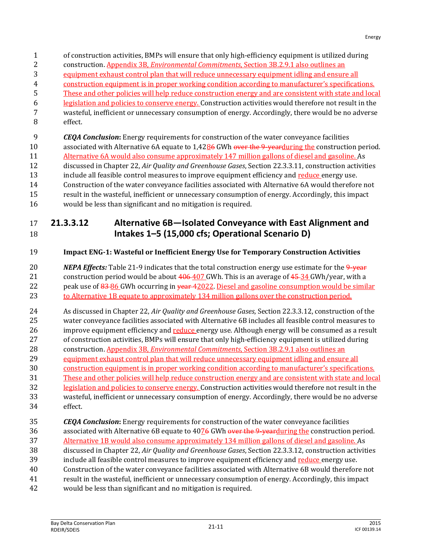- of construction activities, BMPs will ensure that only high-efficiency equipment is utilized during
- construction. Appendix 3B, *Environmental Commitments*, Section 3B.2.9.1 also outlines an
- equipment exhaust control plan that will reduce unnecessary equipment idling and ensure all
- construction equipment is in proper working condition according to manufacturer's specifications.
- These and other policies will help reduce construction energy and are consistent with state and local
- legislation and policies to conserve energy. Construction activities would therefore not result in the wasteful, inefficient or unnecessary consumption of energy. Accordingly, there would be no adverse
- effect.
- *CEQA Conclusion***:** Energy requirements for construction of the water conveyance facilities
- 10 associated with Alternative 6A equate to 1,4286 GWh over the 9-vearduring the construction period.
- Alternative 6A would also consume approximately 147 million gallons of diesel and gasoline. As
- discussed in Chapter 22, *Air Quality and Greenhouse Gases*, Section 22.3.3.11, construction activities
- 13 include all feasible control measures to improve equipment efficiency and reduce energy use.
- Construction of the water conveyance facilities associated with Alternative 6A would therefore not
- result in the wasteful, inefficient or unnecessary consumption of energy. Accordingly, this impact
- would be less than significant and no mitigation is required.

# **21.3.3.12 Alternative 6B—Isolated Conveyance with East Alignment and Intakes 1–5 (15,000 cfs; Operational Scenario D)**

# **Impact ENG-1: Wasteful or Inefficient Energy Use for Temporary Construction Activities**

*NEPA Effects:* Table 21-9 indicates that the total construction energy use estimate for the 9-year 21 construction period would be about  $406-407$  GWh. This is an average of  $45-34$  GWh/year, with a 22 peak use of 83-86 GWh occurring in year 42022. Diesel and gasoline consumption would be similar 23 to Alternative 1B equate to approximately 134 million gallons over the construction period.

- As discussed in Chapter 22, *Air Quality and Greenhouse Gases*, Section 22.3.3.12, construction of the water conveyance facilities associated with Alternative 6B includes all feasible control measures to 26 improve equipment efficiency and reduce energy use. Although energy will be consumed as a result of construction activities, BMPs will ensure that only high-efficiency equipment is utilized during
- construction. Appendix 3B, *Environmental Commitments*, Section 3B.2.9.1 also outlines an
- equipment exhaust control plan that will reduce unnecessary equipment idling and ensure all
- construction equipment is in proper working condition according to manufacturer's specifications.
- These and other policies will help reduce construction energy and are consistent with state and local 32 legislation and policies to conserve energy. Construction activities would therefore not result in the wasteful, inefficient or unnecessary consumption of energy. Accordingly, there would be no adverse
- effect.
- *CEQA Conclusion***:** Energy requirements for construction of the water conveyance facilities 36 associated with Alternative 6B equate to 4076 GWh over the 9-vearduring the construction period. Alternative 1B would also consume approximately 134 million gallons of diesel and gasoline. As
- discussed in Chapter 22, *Air Quality and Greenhouse Gases*, Section 22.3.3.12, construction activities
- 39 include all feasible control measures to improve equipment efficiency and reduce energy use.
- Construction of the water conveyance facilities associated with Alternative 6B would therefore not
- result in the wasteful, inefficient or unnecessary consumption of energy. Accordingly, this impact
- would be less than significant and no mitigation is required.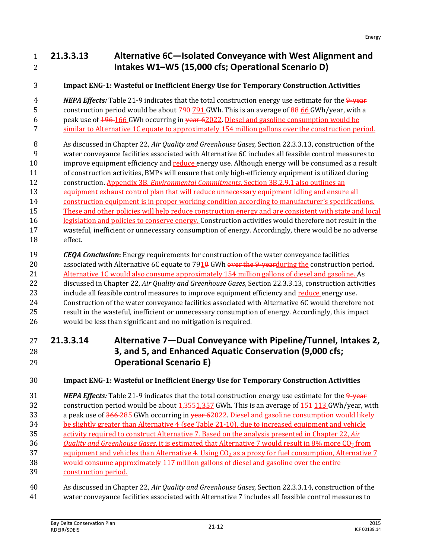#### **21.3.3.13 Alternative 6C—Isolated Conveyance with West Alignment and Intakes W1–W5 (15,000 cfs; Operational Scenario D)**

#### **Impact ENG-1: Wasteful or Inefficient Energy Use for Temporary Construction Activities**

 *NEPA Effects:* Table 21-9 indicates that the total construction energy use estimate for the 9-year 5 construction period would be about 790-791 GWh. This is an average of 88-66 GWh/year, with a peak use of 196 166 GWh occurring in year 62022. Diesel and gasoline consumption would be similar to Alternative 1C equate to approximately 154 million gallons over the construction period.

- As discussed in Chapter 22, *Air Quality and Greenhouse Gases*, Section 22.3.3.13, construction of the water conveyance facilities associated with Alternative 6C includes all feasible control measures to
- 10 improve equipment efficiency and reduce energy use. Although energy will be consumed as a result of construction activities, BMPs will ensure that only high-efficiency equipment is utilized during
- construction. Appendix 3B, *Environmental Commitments*, Section 3B.2.9.1 also outlines an
- 13 equipment exhaust control plan that will reduce unnecessary equipment idling and ensure all
- construction equipment is in proper working condition according to manufacturer's specifications.
- These and other policies will help reduce construction energy and are consistent with state and local
- legislation and policies to conserve energy. Construction activities would therefore not result in the wasteful, inefficient or unnecessary consumption of energy. Accordingly, there would be no adverse effect.
- *CEQA Conclusion***:** Energy requirements for construction of the water conveyance facilities 20 associated with Alternative 6C equate to GWh over the 9-yearduring the construction period. Alternative 1C would also consume approximately 154 million gallons of diesel and gasoline. As discussed in Chapter 22, *Air Quality and Greenhouse Gases*, Section 22.3.3.13, construction activities 23 include all feasible control measures to improve equipment efficiency and reduce energy use. Construction of the water conveyance facilities associated with Alternative 6C would therefore not result in the wasteful, inefficient or unnecessary consumption of energy. Accordingly, this impact
- would be less than significant and no mitigation is required.

# **21.3.3.14 Alternative 7—Dual Conveyance with Pipeline/Tunnel, Intakes 2, 3, and 5, and Enhanced Aquatic Conservation (9,000 cfs; Operational Scenario E)**

# **Impact ENG-1: Wasteful or Inefficient Energy Use for Temporary Construction Activities**

 *NEPA Effects:* Table 21-9 indicates that the total construction energy use estimate for the 9-year 32 construction period would be about  $\frac{1,3551,357}{2}$  GWh. This is an average of  $\frac{151.113}{2}$  GWh/year, with 33 a peak use of  $366-285$  GWh occurring in <del>year 6</del>2022. Diesel and gasoline consumption would likely be slightly greater than Alternative 4 (see Table 21-10), due to increased equipment and vehicle activity required to construct Alternative 7. Based on the analysis presented in Chapter 22, *Air Quality and Greenhouse Gases*, it is estimated that Alternative 7 would result in 8% more CO<sup>2</sup> from 37 equipment and vehicles than Alternative 4. Using  $CO<sub>2</sub>$  as a proxy for fuel consumption, Alternative 7 would consume approximately 117 million gallons of diesel and gasoline over the entire construction period.

 As discussed in Chapter 22, *Air Quality and Greenhouse Gases*, Section 22.3.3.14, construction of the water conveyance facilities associated with Alternative 7 includes all feasible control measures to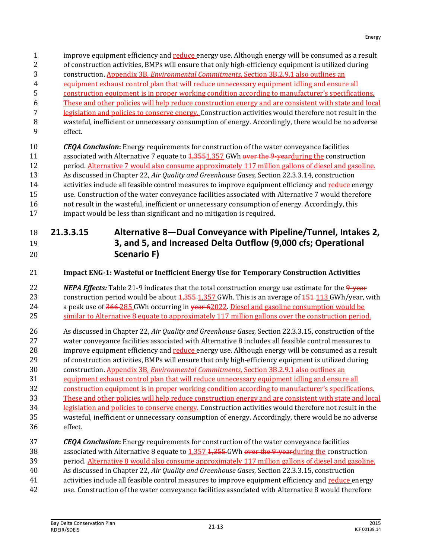- 1 improve equipment efficiency and reduce energy use. Although energy will be consumed as a result
- of construction activities, BMPs will ensure that only high-efficiency equipment is utilized during construction. Appendix 3B, *Environmental Commitments*, Section 3B.2.9.1 also outlines an
- equipment exhaust control plan that will reduce unnecessary equipment idling and ensure all
- construction equipment is in proper working condition according to manufacturer's specifications.
- These and other policies will help reduce construction energy and are consistent with state and local
- legislation and policies to conserve energy. Construction activities would therefore not result in the
- wasteful, inefficient or unnecessary consumption of energy. Accordingly, there would be no adverse
- effect.
- *CEQA Conclusion***:** Energy requirements for construction of the water conveyance facilities
- 11 associated with Alternative 7 equate to  $\frac{1.3551}{1.357}$  GWh over the 9-yearduring the construction
- 12 period. Alternative 7 would also consume approximately 117 million gallons of diesel and gasoline.
- As discussed in Chapter 22, *Air Quality and Greenhouse Gases*, Section 22.3.3.14, construction
- 14 activities include all feasible control measures to improve equipment efficiency and reduce energy
- use. Construction of the water conveyance facilities associated with Alternative 7 would therefore
- not result in the wasteful, inefficient or unnecessary consumption of energy. Accordingly, this
- impact would be less than significant and no mitigation is required.

# **21.3.3.15 Alternative 8—Dual Conveyance with Pipeline/Tunnel, Intakes 2, 3, and 5, and Increased Delta Outflow (9,000 cfs; Operational Scenario F)**

**Impact ENG-1: Wasteful or Inefficient Energy Use for Temporary Construction Activities**

*NEPA Effects:* Table 21-9 indicates that the total construction energy use estimate for the 9-year 23 construction period would be about  $\frac{1}{3}$ ,  $\frac{357}{357}$  GWh. This is an average of  $\frac{151}{13}$  GWh/year, with 24 a peak use of  $366-285$  GWh occurring in  $\frac{1}{2}62022$ . Diesel and gasoline consumption would be similar to Alternative 8 equate to approximately 117 million gallons over the construction period.

- As discussed in Chapter 22, *Air Quality and Greenhouse Gases*, Section 22.3.3.15, construction of the water conveyance facilities associated with Alternative 8 includes all feasible control measures to 28 improve equipment efficiency and reduce energy use. Although energy will be consumed as a result of construction activities, BMPs will ensure that only high-efficiency equipment is utilized during
- construction. Appendix 3B, *Environmental Commitments*, Section 3B.2.9.1 also outlines an
- equipment exhaust control plan that will reduce unnecessary equipment idling and ensure all
- construction equipment is in proper working condition according to manufacturer's specifications.
- These and other policies will help reduce construction energy and are consistent with state and local
- legislation and policies to conserve energy. Construction activities would therefore not result in the
- wasteful, inefficient or unnecessary consumption of energy. Accordingly, there would be no adverse effect.

# *CEQA Conclusion***:** Energy requirements for construction of the water conveyance facilities

- 38 associated with Alternative 8 equate to  $1,357$   $1,355$  GWh over the 9-vearduring the construction
- period. Alternative 8 would also consume approximately 117 million gallons of diesel and gasoline. As discussed in Chapter 22, *Air Quality and Greenhouse Gases*, Section 22.3.3.15, construction
- activities include all feasible control measures to improve equipment efficiency and reduce energy
- use. Construction of the water conveyance facilities associated with Alternative 8 would therefore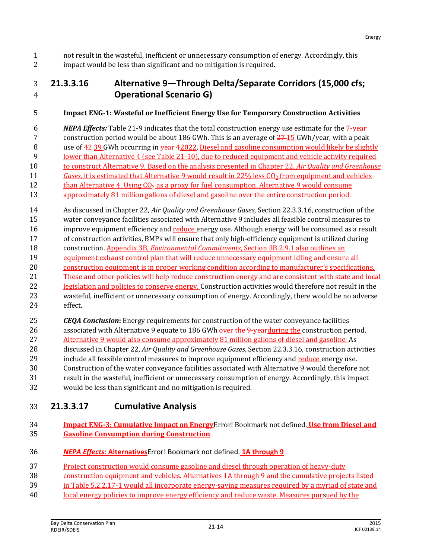not result in the wasteful, inefficient or unnecessary consumption of energy. Accordingly, this impact would be less than significant and no mitigation is required.

## **21.3.3.16 Alternative 9—Through Delta/Separate Corridors (15,000 cfs; Operational Scenario G)**

#### **Impact ENG-1: Wasteful or Inefficient Energy Use for Temporary Construction Activities**

 *NEPA Effects:* Table 21-9 indicates that the total construction energy use estimate for the 7-year 7 construction period would be about 186 GWh. This is an average of  $27-15$  GWh/year, with a peak 8 use of 42-39 GWh occurring in <del>year 4</del>2022. Diesel and gasoline consumption would likely be slightly lower than Alternative 4 (see Table 21-10), due to reduced equipment and vehicle activity required to construct Alternative 9. Based on the analysis presented in Chapter 22, *Air Quality and Greenhouse Gases*, it is estimated that Alternative 9 would result in 22% less CO<sup>2</sup> from equipment and vehicles 12 than Alternative 4. Using CO<sub>2</sub> as a proxy for fuel consumption, Alternative 9 would consume approximately 81 million gallons of diesel and gasoline over the entire construction period.

- As discussed in Chapter 22, *Air Quality and Greenhouse Gases*, Section 22.3.3.16, construction of the water conveyance facilities associated with Alternative 9 includes all feasible control measures to 16 improve equipment efficiency and reduce energy use. Although energy will be consumed as a result of construction activities, BMPs will ensure that only high-efficiency equipment is utilized during construction. Appendix 3B, *Environmental Commitments*, Section 3B.2.9.1 also outlines an equipment exhaust control plan that will reduce unnecessary equipment idling and ensure all construction equipment is in proper working condition according to manufacturer's specifications. These and other policies will help reduce construction energy and are consistent with state and local 22 legislation and policies to conserve energy. Construction activities would therefore not result in the wasteful, inefficient or unnecessary consumption of energy. Accordingly, there would be no adverse effect.
- *CEQA Conclusion***:** Energy requirements for construction of the water conveyance facilities 26 associated with Alternative 9 equate to 186 GWh over the 9-vearduring the construction period. 27 Alternative 9 would also consume approximately 81 million gallons of diesel and gasoline. As discussed in Chapter 22, *Air Quality and Greenhouse Gases*, Section 22.3.3.16, construction activities 29 include all feasible control measures to improve equipment efficiency and reduce energy use. Construction of the water conveyance facilities associated with Alternative 9 would therefore not result in the wasteful, inefficient or unnecessary consumption of energy. Accordingly, this impact would be less than significant and no mitigation is required.

### **21.3.3.17 Cumulative Analysis**

- **Impact ENG-3: Cumulative Impact on Energy**Error! Bookmark not defined. **Use from Diesel and Gasoline Consumption during Construction**
- *NEPA Effects:* **Alternatives**Error! Bookmark not defined. **1A through 9**
- 37 Project construction would consume gasoline and diesel through operation of heavy-duty
- construction equipment and vehicles. Alternatives 1A through 9 and the cumulative projects listed
- in Table 5.2.2.17-1 would all incorporate energy-saving measures required by a myriad of state and
- 40 local energy policies to improve energy efficiency and reduce waste. Measures pursued by the